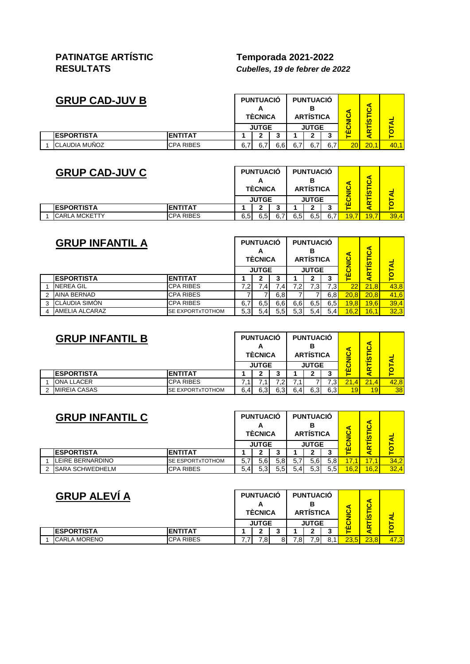## **PATINATGE ARTÍSTIC Temporada 2021-2022**

**RESULTATS** *Cubelles, 19 de febrer de 2022*

| <b>GRUP CAD-JUV B</b> |                   |                  | <b>PUNTUACIÓ</b><br><b>TÉCNICA</b> |              |     | <b>PUNTUACIÓ</b><br><b>ARTÍSTICA</b> |      |     | ഗ  |      |      |
|-----------------------|-------------------|------------------|------------------------------------|--------------|-----|--------------------------------------|------|-----|----|------|------|
|                       |                   |                  |                                    | <b>JUTGE</b> |     | <b>JUTGE</b>                         |      |     |    |      |      |
|                       | <b>ESPORTISTA</b> | <b>ENTITAT</b>   |                                    | ◠            | u   |                                      |      |     | ٦Ш |      |      |
|                       | CLAUDIA MUÑOZ     | <b>CPA RIBES</b> | 6.7                                |              | 6.6 | 6,7                                  | 6,71 | 6.7 | 20 | 20.1 | 40,1 |

| <b>GRUP CAD-JUV C</b> |                      |                  | <b>PUNTUACIÓ</b><br><b>TÉCNICA</b> | <b>PUNTUACIÓ</b><br><b>ARTÍSTICA</b> |     |              |     | u.   |      |      |
|-----------------------|----------------------|------------------|------------------------------------|--------------------------------------|-----|--------------|-----|------|------|------|
|                       |                      |                  |                                    | <b>JUTGE</b>                         |     | <b>JUTGE</b> |     | лп   |      |      |
|                       | <b>ESPORTISTA</b>    | <b>ENTITAT</b>   |                                    |                                      |     |              |     |      |      |      |
|                       | <b>CARLA MCKETTY</b> | <b>CPA RIBES</b> | 6,5                                | 6,5                                  | 6,5 | 6,5          | 6.7 | 19,7 | 19,7 | 39,4 |

|               | <b>GRUP INFANTIL A</b> |                         |     | <b>PUNTUACIÓ</b><br><b>TÈCNICA</b><br><b>JUTGE</b> |     |     | <b>PUNTUACIÓ</b><br><b>ARTÍSTICA</b><br><b>JUTGE</b> |     | ⋖<br><u>ပ</u> | ⋖<br><u>ပ</u><br>듮 |              |
|---------------|------------------------|-------------------------|-----|----------------------------------------------------|-----|-----|------------------------------------------------------|-----|---------------|--------------------|--------------|
|               | <b>ESPORTISTA</b>      | <b>ENTITAT</b>          |     |                                                    | 3   |     |                                                      |     | ۸Ш            | ≃                  | <b>TOTAL</b> |
|               | <b>NEREA GIL</b>       | <b>CPA RIBES</b>        | 7,2 | 7,4                                                | .4  |     | 7.3                                                  | 7.3 | 22            | 21.8               | 43,8         |
| $\mathcal{P}$ | AINA BERNAD            | <b>CPA RIBES</b>        |     |                                                    | 6,8 |     |                                                      | 6,8 | 20.8          | 20.8               | 41,6         |
| 3             | CLÀUDIA SIMÓN          | <b>CPA RIBES</b>        | 6,7 | 6,5                                                | 6,6 | 6,6 | 6,5                                                  | 6,5 | 19,8          | 19,6               | 39,4         |
| 4             | AMELIA ALCARAZ         | <b>SE EXPORTXTOTHOM</b> | 5,3 | 5.41                                               | 5.5 | 5.3 | 5.41                                                 | 5.4 | 16,2          | 16,1               | 32,3         |

| <b>GRUP INFANTIL B</b> |                         |     | <b>PUNTUACIÓ</b><br><b>TÉCNICA</b> |     |     | <b>PUNTUACIÓ</b><br><b>ARTISTICA</b> |              |      | m    |      |
|------------------------|-------------------------|-----|------------------------------------|-----|-----|--------------------------------------|--------------|------|------|------|
|                        |                         |     | <b>JUTGE</b>                       |     |     | <b>JUTGE</b>                         |              | лп   |      |      |
| <b>IESPORTISTA</b>     | <b>IENTITAT</b>         |     |                                    | v.  |     |                                      |              |      |      |      |
| <b>ONA LLACER</b>      | <b>CPA RIBES</b>        |     |                                    |     |     |                                      | $3^{\prime}$ | 21.4 | 21.4 | 42.8 |
| <b>MIREIA CASAS</b>    | <b>SE EXPORTXTOTHOM</b> | 6,4 | 6,3                                | 6,3 | 6.4 | 6,3                                  | 6,3          | 19   | 19   | 38   |

|        | <b>GRUP INFANTIL C</b> |                         |              | <b>PUNTUACIÓ</b><br><b>TÉCNICA</b> |               | <b>PUNTUACIÓ</b><br>В<br><b>ARTISTICA</b> |                  |                  |      | m    |      |
|--------|------------------------|-------------------------|--------------|------------------------------------|---------------|-------------------------------------------|------------------|------------------|------|------|------|
|        |                        |                         | <b>JUTGE</b> |                                    |               |                                           | <b>JUTGE</b>     |                  | ٦Ш   |      |      |
|        | <b>IESPORTISTA</b>     | <b>IENTITAT</b>         |              |                                    | 3             |                                           |                  |                  |      |      |      |
|        | LEIRE BERNARDINO       | <b>SE ESPORTXTOTHOM</b> | 5.7          | 5.6 <sup>1</sup>                   | 5,8           | 5.                                        | 5.6 <sub>l</sub> | 5.8 <sub>l</sub> |      | 17.1 | 34,2 |
| $\sim$ | <b>SARA SCHWEDHELM</b> | <b>CPA RIBES</b>        | 5.4I         |                                    | $5.5^{\circ}$ | 5.4 <sub>l</sub>                          | 5,3              | 5.5              | 16,2 | 16,2 | 32,4 |

| <b>GRUP ALEVI A</b> |                   | <b>PUNTUACIÓ</b><br><b>TÉCNICA</b> |              |    |              | <b>PUNTUACIÓ</b><br><b>ARTÍSTICA</b> |       | m        |      |      |
|---------------------|-------------------|------------------------------------|--------------|----|--------------|--------------------------------------|-------|----------|------|------|
|                     |                   |                                    | <b>JUTGE</b> |    | <b>JUTGE</b> |                                      |       | $\alpha$ |      |      |
|                     | <b>ESPORTISTA</b> | <b>IENTITAT</b>                    |              |    |              |                                      |       | ٦Ш       |      |      |
|                     | CARLA MORENO      | <b>CPA RIBES</b>                   |              | .8 |              | .8                                   | 7,91. | 23.5     | 23.8 | 47.3 |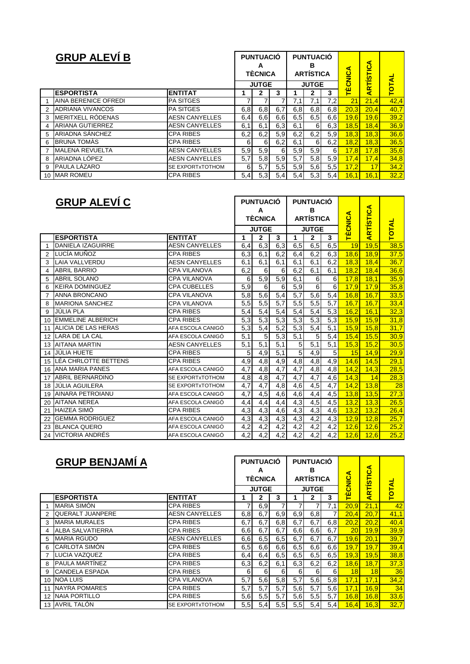|   | <b>GRUP ALEVÍ B</b>     |                       |     | <b>PUNTUACIÓ</b><br>A<br><b>TÈCNICA</b><br><b>JUTGE</b> |     |     | <b>PUNTUACIÓ</b><br>в<br><b>ARTÍSTICA</b><br><b>JUTGE</b> |          | <b>TÈCNICA</b> | <b>ARTISTICA</b> | <b>TOTAL</b> |
|---|-------------------------|-----------------------|-----|---------------------------------------------------------|-----|-----|-----------------------------------------------------------|----------|----------------|------------------|--------------|
|   | <b>ESPORTISTA</b>       | <b>ENTITAT</b>        |     | 2                                                       | 3   |     | 2                                                         | 3        |                |                  |              |
|   | AINA BERENICE OFREDI    | <b>PA SITGES</b>      |     |                                                         |     | 7,1 | 7,1                                                       | 7,2      | 21             | 21,4             | 42,4         |
| 2 | <b>ADRIANA VIVANCOS</b> | <b>PA SITGES</b>      | 6,8 | 6,8                                                     | 6,7 | 6,8 | 6,8                                                       | 6,8      | 20,3           | 20.4             | 40.7         |
| 3 | MERITXELL RÓDENAS       | <b>AESN CANYELLES</b> | 6,4 | 6,6                                                     | 6,6 | 6,5 | 6,5                                                       | 6,6      | 19,6           | 19,6             | 39,2         |
| 4 | <b>ARIANA GUTIERREZ</b> | <b>AESN CANYELLES</b> | 6,1 | 6,1                                                     | 6,3 | 6,1 | 6                                                         | 6,3      | 18,5           | 18,4             | 36,9         |
| 5 | ARIADNA SÁNCHEZ         | <b>CPA RIBES</b>      | 6,2 | 6,2                                                     | 5,9 | 6,2 | 6,2                                                       | 5,9      | 18,3           | 18,3             | 36,6         |
| 6 | <b>BRUNA TOMAS</b>      | <b>CPA RIBES</b>      | 6   | 6                                                       | 6,2 | 6,1 | 6                                                         | 6,2      | 18,2           | 18,3             | 36,5         |
| 7 | <b>MALENA REVUELTA</b>  | <b>AESN CANYELLES</b> | 5,9 | 5,9                                                     | 6   | 5.9 | 5,9                                                       | $6 \mid$ | 17,8           | 17,8             | 35,6         |
| 8 | ARIADNA LÓPEZ           | <b>AESN CANYELLES</b> | 5,7 | 5,8                                                     | 5,9 | 5,7 | 5,8                                                       | 5,9      | 17,4           | 17,4             | 34,8         |
| 9 | PAULA LÁZARO            | SE EXPORTXTOTHOM      | 6   | 5,7                                                     | 5,5 | 5,9 | 5,6                                                       | 5,5      | 17,2           | 17               | 34,2         |
|   | 10 MAR ROMEU            | <b>CPA RIBES</b>      | 5,4 | 5.3 <sub>1</sub>                                        | 5,4 | 5,4 | 5,3                                                       | 5,4      | 16,1           | 16,1             | 32,2         |

|    | <b>GRUP ALEVÍ C</b>      |                       |     | <b>PUNTUACIÓ</b><br>A<br><b>TÈCNICA</b> |                  |                  | <b>PUNTUACIÓ</b><br>в<br><b>ARTÍSTICA</b> |     | Œ<br><b>TÈCNIC</b> | <b>ARTÍSTICA</b> |              |
|----|--------------------------|-----------------------|-----|-----------------------------------------|------------------|------------------|-------------------------------------------|-----|--------------------|------------------|--------------|
|    |                          |                       |     | <b>JUTGE</b>                            |                  |                  | <b>JUTGE</b>                              |     |                    |                  | <b>TOTAL</b> |
|    | <b>ESPORTISTA</b>        | <b>ENTITAT</b>        | 1   | 2                                       | 3                | 1                | 2                                         | 3   |                    |                  |              |
| 1  | <b>DANIELA IZAGUIRRE</b> | <b>AESN CANYELLES</b> | 6,4 | 6,3                                     | 6,3              | 6,5              | 6,5                                       | 6,5 | 19                 | 19.5             | 38,5         |
| 2  | LUCÍA MUÑOZ              | <b>CPA RIBES</b>      | 6,3 | 6,1                                     | 6,2              | 6,4              | 6,2                                       | 6,3 | 18,6               | 18,9             | 37,5         |
| 3  | LAIA VALLVERDU           | <b>AESN CANYELLES</b> | 6,1 | 6,1                                     | 6,1              | 6,1              | 6,1                                       | 6,2 | 18,3               | 18,4             | 36,7         |
| 4  | <b>ABRIL BARRIO</b>      | <b>CPA VILANOVA</b>   | 6,2 | 6                                       | 6                | 6,2              | 6,1                                       | 6,1 | 18.2               | 18,4             | 36,6         |
| 5  | <b>ABRIL SOLANO</b>      | <b>CPA VILANOVA</b>   | 6   | 5,9                                     | 5,9              | 6,1              | 6                                         | 6   | 17,8               | 18.1             | 35,9         |
| 6  | <b>KEIRA DOMINGUEZ</b>   | <b>CPA CUBELLES</b>   | 5,9 | 6                                       | 6                | 5,9              | 6                                         | 6   | 17,9               | 17,9             | 35,8         |
| 7  | <b>ANNA BRONCANO</b>     | <b>CPA VILANOVA</b>   | 5,8 | 5,6                                     | 5,4              | $\overline{5,7}$ | 5,6                                       | 5,4 | 16.8               | 16.7             | 33,5         |
| 8  | <b>MARIONA SANCHEZ</b>   | <b>CPA VILANOVA</b>   | 5,5 | 5,5                                     | 5,7              | 5,5              | 5,5                                       | 5,7 | 16.7               | 16.7             | 33,4         |
| 9  | <b>JÚLIA PLA</b>         | <b>CPA RIBES</b>      | 5,4 | 5,4                                     | 5,4              | 5,4              | 5,4                                       | 5,3 | 16,2               | 16,1             | 32,3         |
| 10 | <b>EMMELINE ALBERICH</b> | <b>CPA RIBES</b>      | 5,3 | 5,3                                     | 5,3              | 5,3              | 5,3                                       | 5,3 | 15.9               | 15.9             | 31,8         |
| 11 | ALICIA DE LAS HERAS      | AFA ESCOLA CANIGÓ     | 5,3 | 5,4                                     | $\overline{5,2}$ | 5,3              | 5,4                                       | 5,1 | 15,9               | 15,8             | 31,7         |
| 12 | LARA DE LA CAL           | AFA ESCOLA CANIGÓ     | 5,1 | 5                                       | 5,3              | 5,1              | 5                                         | 5,4 | 15,4               | 15.5             | 30,9         |
| 13 | <b>AITANA MARTIN</b>     | <b>AESN CANYELLES</b> | 5,1 | $\overline{5,1}$                        | $\overline{5,1}$ | 5                | 5,1                                       | 5,1 | 15,3               | 15.2             | 30,5         |
| 14 | JÚLIA HUETE              | <b>CPA RIBES</b>      | 5   | 4,9                                     | 5,1              | 5                | 4,9                                       | 5   | 15                 | 14,9             | 29,9         |
| 15 | LÉA CHRLOTTE BETTENS     | <b>CPA RIBES</b>      | 4,9 | 4,8                                     | 4,9              | 4,8              | 4,8                                       | 4,9 | 14,6               | 14,5             | 29,1         |
| 16 | <b>ANA MARIA PANES</b>   | AFA ESCOLA CANIGÓ     | 4,7 | 4,8                                     | 4,7              | 4,7              | 4,8                                       | 4,8 | 14,2               | 14,3             | 28,5         |
| 17 | <b>ABRIL BERNARDINO</b>  | SE EXPORTXTOTHOM      | 4,8 | 4,8                                     | 4,7              | $4,\overline{7}$ | 4,7                                       | 4,6 | 14,3               | 14               | 28,3         |
| 18 | JÚLIA AGUILERA           | SE EXPORTXTOTHOM      | 4,7 | 4,7                                     | 4,8              | 4,6              | 4,5                                       | 4,7 | 14,2               | 13,8             | 28           |
| 19 | <b>AINARA PETROIANU</b>  | AFA ESCOLA CANIGÓ     | 4,7 | 4,5                                     | 4,6              | 4,6              | 4,4                                       | 4,5 | 13,8               | 13,5             | 27,3         |
| 20 | <b>AITANA NEREA</b>      | AFA ESCOLA CANIGÓ     | 4,4 | 4,4                                     | 4,4              | 4,3              | 4,5                                       | 4,5 | 13,2               | 13,3             | 26,5         |
| 21 | <b>HAIZEA SIMÓ</b>       | <b>CPA RIBES</b>      | 4,3 | 4,3                                     | 4,6              | 4,3              | 4,3                                       | 4,6 | 13,2               | 13,2             | 26,4         |
| 22 | <b>GEMMA RODRIGUEZ</b>   | AFA ESCOLA CANIGÓ     | 4,3 | 4,3                                     | 4,3              | 4,3              | 4,2                                       | 4,3 | 12,9               | 12,8             | 25,7         |
| 23 | <b>BLANCA QUERO</b>      | AFA ESCOLA CANIGÓ     | 4,2 | 4,2                                     | 4,2              | 4,2              | 4,2                                       | 4,2 | 12,6               | 12.6             | 25,2         |
| 24 | <b>VICTORIA ANDRÉS</b>   | AFA ESCOLA CANIGÓ     | 4,2 | 4,2                                     | 4,2              | 4,2              | 4,2                                       | 4,2 | 12,6               | 12.6             | 25,2         |

|                 | <b>GRUP BENJAMÍ A</b>   |                         |     | <b>PUNTUACIÓ</b><br>A<br><b>TÈCNICA</b> |     |     | <b>PUNTUACIÓ</b><br>в<br><b>ARTÍSTICA</b> |     | ⋖<br><b>TÈCNIC</b> | <b>ARTÍSTICA</b> |              |
|-----------------|-------------------------|-------------------------|-----|-----------------------------------------|-----|-----|-------------------------------------------|-----|--------------------|------------------|--------------|
|                 | <b>ESPORTISTA</b>       | <b>ENTITAT</b>          |     | <b>JUTGE</b><br>2                       | 3   |     | <b>JUTGE</b><br>2                         | 3   |                    |                  | <b>TOTAL</b> |
|                 | <b>MARIA SIMON</b>      | <b>CPA RIBES</b>        | 7   | 6.9                                     |     |     |                                           | 7,1 | 20,9               | 21,1             | 42           |
| $\overline{2}$  | <b>QUERALT JUANPERE</b> | <b>AESN CANYELLES</b>   | 6,8 | 6,7                                     | 6,9 | 6.9 | 6,8                                       | 7   | 20,4               | 20,7             | 41,1         |
| 3               | <b>MARIA MURALES</b>    | <b>CPA RIBES</b>        | 6,7 | 6,7                                     | 6,8 | 6,7 | 6,7                                       | 6,8 | 20,2               | 20,2             | 40,4         |
| 4               | <b>ALBA SALVATIERRA</b> | <b>CPA RIBES</b>        | 6,6 | 6,7                                     | 6,7 | 6,6 | 6,6                                       | 6,7 | 20                 | 19,9             | 39,9         |
| 5               | <b>MARIA RGUDO</b>      | <b>AESN CANYELLES</b>   | 6,6 | 6,5                                     | 6,5 | 6,7 | 6,7                                       | 6,7 | 19,6               | 20,1             | 39,7         |
| 6               | <b>CARLOTA SIMÓN</b>    | <b>CPA RIBES</b>        | 6,5 | 6,6                                     | 6,6 | 6,5 | 6,6                                       | 6,6 | 19,7               | 19,7             | 39,4         |
|                 | LUCIA VAZQUEZ           | <b>CPA RIBES</b>        | 6,4 | 6,4                                     | 6,5 | 6,5 | 6,5                                       | 6,5 | 19,3               | 19,5             | 38,8         |
| 8               | <b>PAULA MARTINEZ</b>   | <b>CPA RIBES</b>        | 6,3 | 6,2                                     | 6,1 | 6,3 | 6,2                                       | 6,2 | 18,6               | 18,7             | 37,3         |
| 9               | <b>CANDELA ESPADA</b>   | <b>CPA RIBES</b>        | 6   | 6                                       | 6   | 6   | 6.                                        | 6   | 18                 | 18 <sup>l</sup>  | 36           |
| 10              | <b>NOA LUIS</b>         | <b>CPA VILANOVA</b>     | 5,7 | 5,6                                     | 5,8 | 5,7 | 5,6                                       | 5,8 | 17,1               | 17,1             | 34,2         |
| 11              | <b>NAYRA POMARES</b>    | <b>CPA RIBES</b>        | 5,7 | 5,7                                     | 5,7 | 5,6 | 5,7                                       | 5,6 | 17,1               | 16,9             | 34           |
| 12 <sup>2</sup> | NAIA PORTILLO           | <b>CPA RIBES</b>        | 5,6 | 5,5                                     | 5,7 | 5,6 | 5,5                                       | 5,7 | 16,8               | 16,8             | 33,6         |
|                 | 13 AVRIL TALÓN          | <b>SE EXPORTXTOTHOM</b> | 5,5 | 5,4                                     | 5,5 | 5,5 | 5,4                                       | 5.4 | 16,4               | 16,3             | 32,7         |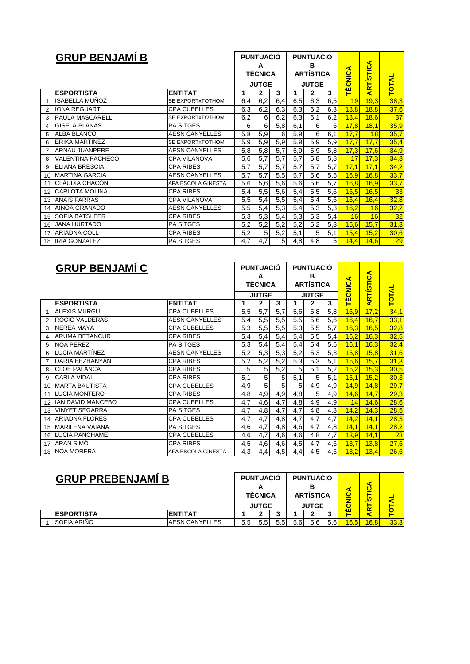|    | <b>GRUP BENJAMÍ B</b>    |                       |     | <b>PUNTUACIÓ</b><br>А<br><b>TÈCNICA</b> |                  |                  | <b>PUNTUACIÓ</b><br>в<br><b>ARTÍSTICA</b> |                | 4.<br><b>TÈCNIC</b> | <b>RTÍSTICA</b> |              |
|----|--------------------------|-----------------------|-----|-----------------------------------------|------------------|------------------|-------------------------------------------|----------------|---------------------|-----------------|--------------|
|    |                          |                       |     | <b>JUTGE</b>                            |                  |                  | <b>JUTGE</b>                              |                |                     |                 | <b>TOTAL</b> |
|    | <b>ESPORTISTA</b>        | <b>ENTITAT</b>        | 1   | $\mathbf{2}$                            | 3                | 1                | 2                                         | 3              |                     | ₹               |              |
| 1  | <b>ISABELLA MUÑOZ</b>    | SE EXPORTxTOTHOM      | 6,4 | 6,2                                     | 6,4              | 6,5              | 6,3                                       | 6,5            | 19                  | 19,3            | 38,3         |
| 2  | <b>IONA REGUART</b>      | <b>CPA CUBELLES</b>   | 6,3 | 6,2                                     | 6,3              | 6,3              | 6,2                                       | 6,3            | 18,8                | 18,8            | 37,6         |
| 3  | <b>PAULA MASCARELL</b>   | SE EXPORTXTOTHOM      | 6,2 | 6                                       | 6,2              | 6,3              | 6,1                                       | 6,2            | 18,4                | 18,6            | 37           |
| 4  | <b>GISELA PLANAS</b>     | <b>PA SITGES</b>      | 6   | 6                                       | 5,8              | 6,1              | $6 \mid$                                  | 6              | 17,8                | 18,1            | 35,9         |
| 5  | <b>ALBA BLANCO</b>       | <b>AESN CANYELLES</b> | 5,8 | 5,9                                     | 6                | 5,9              | 6                                         | 6,1            | 17,7                | 18              | 35,7         |
| 6  | ÉRIKA MARTINEZ           | SE EXPORTXTOTHOM      | 5,9 | 5,9                                     | 5,9              | 5,9              | 5,9                                       | 5,9            | 17,7                | 17,7            | 35,4         |
| 7  | <b>ARNAU JUANPERE</b>    | <b>AESN CANYELLES</b> | 5,8 | 5,8                                     | 5,7              | 5,9              | 5,9                                       | 5,8            | 17,3                | 17,6            | 34,9         |
| 8  | <b>VALENTINA PACHECO</b> | <b>CPA VILANOVA</b>   | 5,6 | $\overline{5,7}$                        | $\overline{5,7}$ | $\overline{5,7}$ | 5,8                                       | 5,8            | 17                  | 17,3            | 34,3         |
| 9  | <b>ELIANA BRESCIA</b>    | <b>CPA RIBES</b>      | 5,7 | 5,7                                     | 5,7              | 5,7              | 5,7                                       | 5,7            | 17,1                | 17,1            | 34,2         |
| 10 | <b>MARTINA GARCIA</b>    | <b>AESN CANYELLES</b> | 5,7 | 5,7                                     | 5,5              | 5,7              | 5,6                                       | 5,5            | 16,9                | 16,8            | 33,7         |
| 11 | CLÀUDIA CHACÓN           | AFA ESCOLA GINESTA    | 5,6 | 5,6                                     | 5,6              | 5,6              | 5,6                                       | 5,7            | 16,8                | 16,9            | 33,7         |
| 12 | <b>CARLOTA MOLINA</b>    | <b>CPA RIBES</b>      | 5,4 | 5,5                                     | 5,6              | 5,4              | 5,5                                       | 5,6            | 16,5                | 16,5            | 33           |
| 13 | <b>ANAÏS FARRAS</b>      | <b>CPA VILANOVA</b>   | 5,5 | 5,4                                     | 5,5              | 5,4              | 5,4                                       | 5,6            | 16,4                | 16,4            | 32,8         |
| 14 | <b>AINOA GRANADO</b>     | <b>AESN CANYELLES</b> | 5,5 | 5,4                                     | 5,3              | 5,4              | 5,3                                       | 5,3            | 16,2                | 16              | 32,2         |
| 15 | <b>SOFIA BATSLEER</b>    | <b>CPA RIBES</b>      | 5,3 | 5,3                                     | 5,4              | 5,3              | 5,3                                       | 5,4            | 16                  | 16              | 32           |
|    | 16 JANA HURTADO          | <b>PA SITGES</b>      | 5,2 | 5,2                                     | 5,2              | 5,2              | 5,2                                       | 5,3            | 15,6                | 15,7            | 31,3         |
| 17 | <b>ARIADNA COLL</b>      | <b>CPA RIBES</b>      | 5,2 | 5                                       | 5,2              | 5,1              | 5                                         | 5,1            | 15,4                | 15,2            | 30,6         |
|    | 18 IRIA GONZALEZ         | PA SITGES             | 4,7 | 4,7                                     | 5 <sub>l</sub>   | 4,8              | 4,8                                       | 5 <sub>l</sub> | 14,4                | 14,6            | 29           |

|    | <b>GRUP BENJAMÍ C</b>    |                       |     | <b>PUNTUACIÓ</b><br>A<br><b>TÈCNICA</b> |                |     | <b>PUNTUACIÓ</b><br>в<br><b>ARTÍSTICA</b> |     | ⋖<br><b>CIND</b> | ARTÍSTICA |                   |
|----|--------------------------|-----------------------|-----|-----------------------------------------|----------------|-----|-------------------------------------------|-----|------------------|-----------|-------------------|
|    |                          |                       |     | <b>JUTGE</b>                            |                |     | <b>JUTGE</b>                              |     | É                |           | <b>TOTAL</b>      |
|    | <b>ESPORTISTA</b>        | <b>ENTITAT</b>        | 1   | $\mathbf{2}$                            | 3              | 1   | $\mathbf{2}$                              | 3   |                  |           |                   |
|    | <b>ALEXIS MURGU</b>      | <b>CPA CUBELLES</b>   | 5,5 | 5,7                                     | 5,7            | 5,6 | 5,8                                       | 5,8 | 16,9             | 17,2      | 34,1              |
| 2  | <b>ROCIO VALDERAS</b>    | <b>AESN CANYELLES</b> | 5,4 | 5,5                                     | 5,5            | 5,5 | 5,6                                       | 5,6 | 16,4             | 16,7      | 33,1              |
| 3  | <b>NEREA MAYA</b>        | <b>CPA CUBELLES</b>   | 5,3 | 5,5                                     | 5,5            | 5,3 | 5,5                                       | 5,7 | 16,3             | 16,5      | 32,8              |
| 4  | <b>ARUMA BETANCUR</b>    | <b>CPA RIBES</b>      | 5,4 | 5,4                                     | 5,4            | 5,4 | 5,5                                       | 5,4 | 16,2             | 16,3      | $\overline{32,5}$ |
| 5  | <b>NOA PEREZ</b>         | PA SITGES             | 5,3 | 5,4                                     | 5,4            | 5,4 | 5,4                                       | 5,5 | 16,1             | 16,3      | 32,4              |
| 6  | <b>LUCIA MARTINEZ</b>    | <b>AESN CANYELLES</b> | 5,2 | 5,3                                     | 5,3            | 5,2 | 5,3                                       | 5,3 | 15,8             | 15,8      | 31,6              |
| 7  | DARIA BEZHANYAN          | <b>CPA RIBES</b>      | 5,2 | 5,2                                     | 5,2            | 5,3 | 5,3                                       | 5,1 | 15,6             | 15,7      | 31,3              |
| 8  | <b>CLOE PALANCA</b>      | <b>CPA RIBES</b>      | 5   | 5                                       | 5,2            | 5   | 5,1                                       | 5,2 | 15,2             | 15,3      | 30,5              |
| 9  | <b>CARLA VIDAL</b>       | <b>CPA RIBES</b>      | 5,1 | 5                                       | 5              | 5,1 | 5                                         | 5,1 | 15,1             | 15,2      | 30,3              |
| 10 | <b>MARTA BAUTISTA</b>    | <b>CPA CUBELLES</b>   | 4,9 | 5                                       | 5 <sup>5</sup> | 5   | 4,9                                       | 4,9 | 14,9             | 14,8      | 29,7              |
| 11 | <b>LUCIA MONTERO</b>     | <b>CPA RIBES</b>      | 4,8 | 4,9                                     | 4,9            | 4,8 | 5                                         | 4,9 | 14,6             | 14,7      | $\overline{29,3}$ |
| 12 | <b>IAN DAVID MANCEBO</b> | <b>CPA CUBELLES</b>   | 4,7 | 4,6                                     | 4,7            | 4,8 | 4,9                                       | 4,9 | 14               | 14,6      | 28,6              |
| 13 | <b>VINYET SEGARRA</b>    | <b>PA SITGES</b>      | 4,7 | 4,8                                     | 4,7            | 4,7 | 4,8                                       | 4,8 | 14,2             | 14,3      | 28,5              |
| 14 | <b>ARIADNA FLORES</b>    | <b>CPA CUBELLES</b>   | 4,7 | 4,7                                     | 4,8            | 4,7 | 4,7                                       | 4,7 | 14,2             | 14,1      | 28,3              |
| 15 | MARILENA VAIANA          | <b>PA SITGES</b>      | 4,6 | 4,7                                     | 4,8            | 4,6 | 4,7                                       | 4,8 | 14,1             | 14,1      | 28,2              |
| 16 | LUCÍA PANCHAME           | <b>CPA CUBELLES</b>   | 4,6 | 4,7                                     | 4,6            | 4,6 | 4,8                                       | 4,7 | 13,9             | 14,1      | 28                |
| 17 | ARAN SIMÓ                | <b>CPA RIBES</b>      | 4,5 | 4,6                                     | 4,6            | 4,5 | $\overline{4,7}$                          | 4,6 | 13,7             | 13,8      | 27,5              |
|    | 18 NOA MORERA            | AFA ESCOLA GINESTA    | 4,3 | 4,4                                     | 4,5            | 4,4 | 4,5                                       | 4,5 | 13,2             | 13,4      | 26,6              |

| <b>GRUP PREBENJAMI B</b> |                       | <b>PUNTUACIÓ</b><br><b>TÉCNICA</b> |              |  |      | <b>PUNTUACIÓ</b><br><b>ARTÍSTICA</b> |     |      | Ø,           |      |
|--------------------------|-----------------------|------------------------------------|--------------|--|------|--------------------------------------|-----|------|--------------|------|
|                          |                       |                                    | <b>JUTGE</b> |  |      | <b>JUTGE</b>                         |     |      | $\mathbf{r}$ |      |
| <b>IESPORTISTA</b>       | <b>ENTITAT</b>        |                                    |              |  |      |                                      |     | лц   |              |      |
| SOFIA ARIÑO              | <b>AESN CANYELLES</b> | 5,5!                               | 5,5          |  | 5.61 | 5,6                                  | 5.6 | 16,5 | 16,8         | 33,3 |